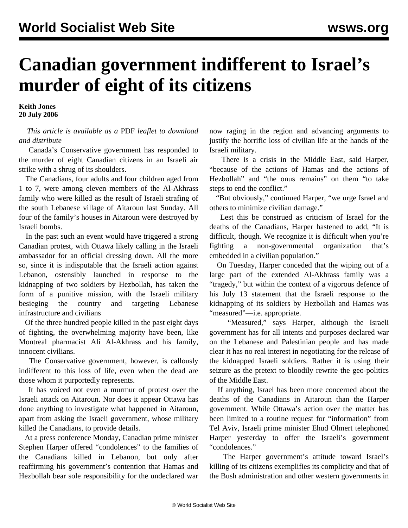## **Canadian government indifferent to Israel's murder of eight of its citizens**

**Keith Jones 20 July 2006**

 *This article is available as a* PDF *leaflet to download and distribute*

 Canada's Conservative government has responded to the murder of eight Canadian citizens in an Israeli air strike with a shrug of its shoulders.

 The Canadians, four adults and four children aged from 1 to 7, were among eleven members of the Al-Akhrass family who were killed as the result of Israeli strafing of the south Lebanese village of Aitaroun last Sunday. All four of the family's houses in Aitaroun were destroyed by Israeli bombs.

 In the past such an event would have triggered a strong Canadian protest, with Ottawa likely calling in the Israeli ambassador for an official dressing down. All the more so, since it is indisputable that the Israeli action against Lebanon, ostensibly launched in response to the kidnapping of two soldiers by Hezbollah, has taken the form of a punitive mission, with the Israeli military besieging the country and targeting Lebanese infrastructure and civilians

 Of the three hundred people killed in the past eight days of fighting, the overwhelming majority have been, like Montreal pharmacist Ali Al-Akhrass and his family, innocent civilians.

 The Conservative government, however, is callously indifferent to this loss of life, even when the dead are those whom it purportedly represents.

 It has voiced not even a murmur of protest over the Israeli attack on Aitaroun. Nor does it appear Ottawa has done anything to investigate what happened in Aitaroun, apart from asking the Israeli government, whose military killed the Canadians, to provide details.

 At a press conference Monday, Canadian prime minister Stephen Harper offered "condolences" to the families of the Canadians killed in Lebanon, but only after reaffirming his government's contention that Hamas and Hezbollah bear sole responsibility for the undeclared war

now raging in the region and advancing arguments to justify the horrific loss of civilian life at the hands of the Israeli military.

 There is a crisis in the Middle East, said Harper, "because of the actions of Hamas and the actions of Hezbollah" and "the onus remains" on them "to take steps to end the conflict."

 "But obviously," continued Harper, "we urge Israel and others to minimize civilian damage."

 Lest this be construed as criticism of Israel for the deaths of the Canadians, Harper hastened to add, "It is difficult, though. We recognize it is difficult when you're fighting a non-governmental organization that's embedded in a civilian population."

 On Tuesday, Harper conceded that the wiping out of a large part of the extended Al-Akhrass family was a "tragedy," but within the context of a vigorous defence of his July 13 statement that the Israeli response to the kidnapping of its soldiers by Hezbollah and Hamas was "measured"—i.e. appropriate.

 "Measured," says Harper, although the Israeli government has for all intents and purposes declared war on the Lebanese and Palestinian people and has made clear it has no real interest in negotiating for the release of the kidnapped Israeli soldiers. Rather it is using their seizure as the pretext to bloodily rewrite the geo-politics of the Middle East.

 If anything, Israel has been more concerned about the deaths of the Canadians in Aitaroun than the Harper government. While Ottawa's action over the matter has been limited to a routine request for "information" from Tel Aviv, Israeli prime minister Ehud Olmert telephoned Harper yesterday to offer the Israeli's government "condolences."

 The Harper government's attitude toward Israel's killing of its citizens exemplifies its complicity and that of the Bush administration and other western governments in